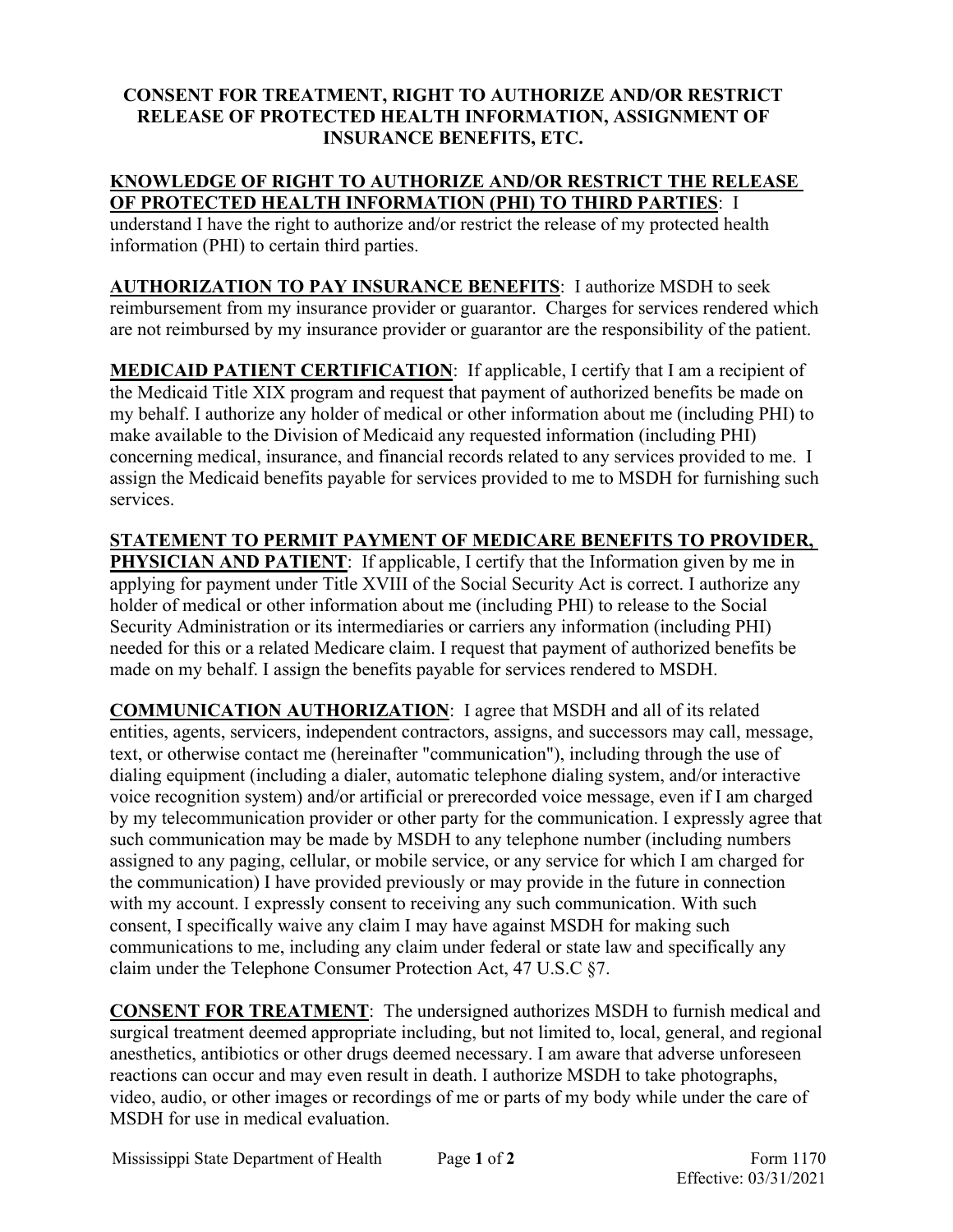## **CONSENT FOR TREATMENT, RIGHT TO AUTHORIZE AND/OR RESTRICT RELEASE OF PROTECTED HEALTH INFORMATION, ASSIGNMENT OF INSURANCE BENEFITS, ETC.**

**KNOWLEDGE OF RIGHT TO AUTHORIZE AND/OR RESTRICT THE RELEASE OF PROTECTED HEALTH INFORMATION (PHI) TO THIRD PARTIES**: I understand I have the right to authorize and/or restrict the release of my protected health information (PHI) to certain third parties.

**AUTHORIZATION TO PAY INSURANCE BENEFITS**: I authorize MSDH to seek reimbursement from my insurance provider or guarantor. Charges for services rendered which are not reimbursed by my insurance provider or guarantor are the responsibility of the patient.

**MEDICAID PATIENT CERTIFICATION**: If applicable, I certify that I am a recipient of the Medicaid Title XIX program and request that payment of authorized benefits be made on my behalf. I authorize any holder of medical or other information about me (including PHI) to make available to the Division of Medicaid any requested information (including PHI) concerning medical, insurance, and financial records related to any services provided to me. I assign the Medicaid benefits payable for services provided to me to MSDH for furnishing such services.

**STATEMENT TO PERMIT PAYMENT OF MEDICARE BENEFITS TO PROVIDER, PHYSICIAN AND PATIENT:** If applicable, I certify that the Information given by me in applying for payment under Title XVIII of the Social Security Act is correct. I authorize any holder of medical or other information about me (including PHI) to release to the Social Security Administration or its intermediaries or carriers any information (including PHI) needed for this or a related Medicare claim. I request that payment of authorized benefits be made on my behalf. I assign the benefits payable for services rendered to MSDH.

**COMMUNICATION AUTHORIZATION**: I agree that MSDH and all of its related entities, agents, servicers, independent contractors, assigns, and successors may call, message, text, or otherwise contact me (hereinafter "communication"), including through the use of dialing equipment (including a dialer, automatic telephone dialing system, and/or interactive voice recognition system) and/or artificial or prerecorded voice message, even if I am charged by my telecommunication provider or other party for the communication. I expressly agree that such communication may be made by MSDH to any telephone number (including numbers assigned to any paging, cellular, or mobile service, or any service for which I am charged for the communication) I have provided previously or may provide in the future in connection with my account. I expressly consent to receiving any such communication. With such consent, I specifically waive any claim I may have against MSDH for making such communications to me, including any claim under federal or state law and specifically any claim under the Telephone Consumer Protection Act, 47 U.S.C §7.

**CONSENT FOR TREATMENT**: The undersigned authorizes MSDH to furnish medical and surgical treatment deemed appropriate including, but not limited to, local, general, and regional anesthetics, antibiotics or other drugs deemed necessary. I am aware that adverse unforeseen reactions can occur and may even result in death. I authorize MSDH to take photographs, video, audio, or other images or recordings of me or parts of my body while under the care of MSDH for use in medical evaluation.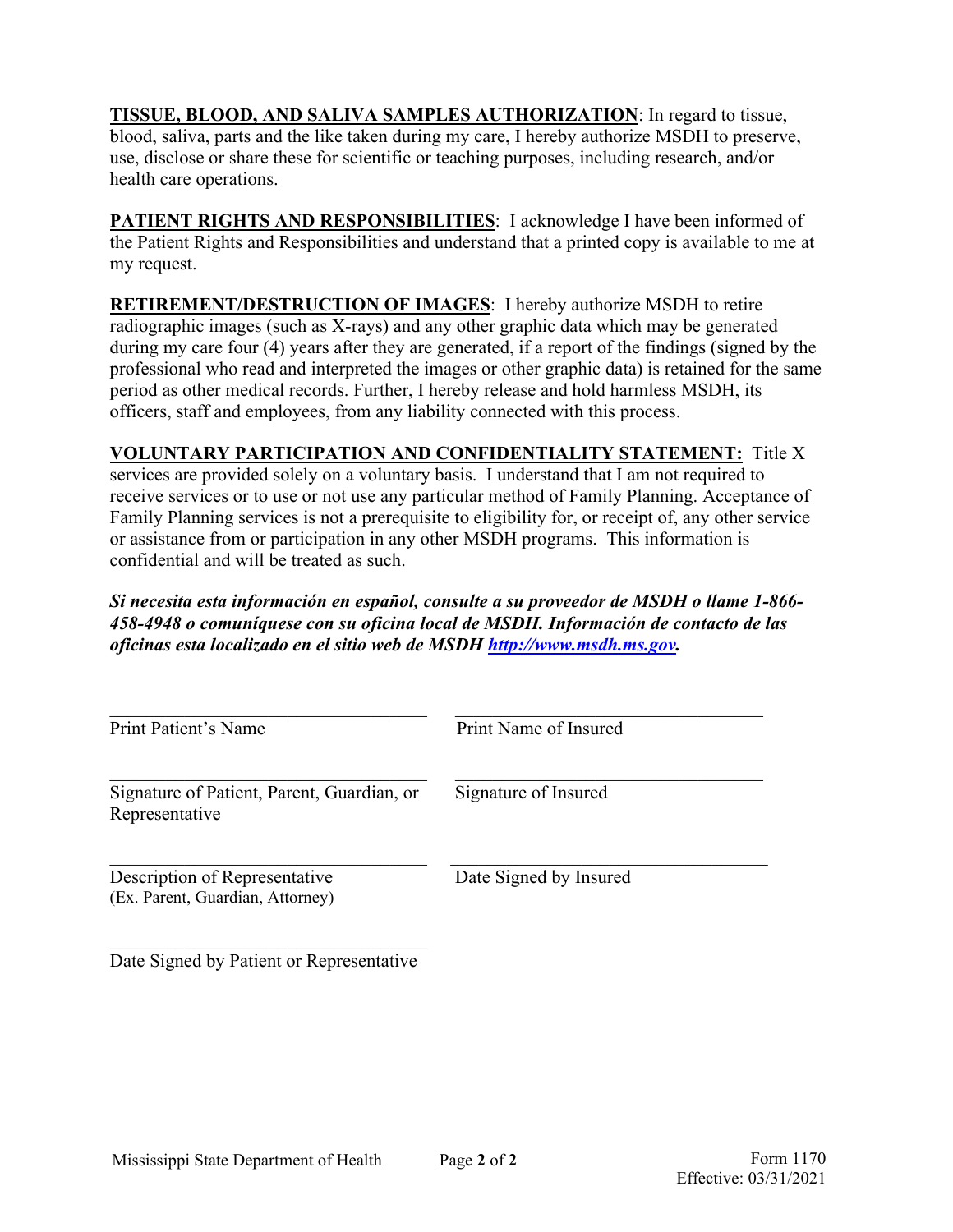**TISSUE, BLOOD, AND SALIVA SAMPLES AUTHORIZATION**: In regard to tissue, blood, saliva, parts and the like taken during my care, I hereby authorize MSDH to preserve, use, disclose or share these for scientific or teaching purposes, including research, and/or health care operations.

**PATIENT RIGHTS AND RESPONSIBILITIES:** I acknowledge I have been informed of the Patient Rights and Responsibilities and understand that a printed copy is available to me at my request.

**RETIREMENT/DESTRUCTION OF IMAGES**: I hereby authorize MSDH to retire radiographic images (such as X-rays) and any other graphic data which may be generated during my care four (4) years after they are generated, if a report of the findings (signed by the professional who read and interpreted the images or other graphic data) is retained for the same period as other medical records. Further, I hereby release and hold harmless MSDH, its officers, staff and employees, from any liability connected with this process.

**VOLUNTARY PARTICIPATION AND CONFIDENTIALITY STATEMENT:** Title X services are provided solely on a voluntary basis. I understand that I am not required to receive services or to use or not use any particular method of Family Planning. Acceptance of Family Planning services is not a prerequisite to eligibility for, or receipt of, any other service or assistance from or participation in any other MSDH programs. This information is confidential and will be treated as such.

*Si necesita esta información en español, consulte a su proveedor de MSDH o llame 1-866- 458-4948 o comuníquese con su oficina local de MSDH. Información de contacto de las oficinas esta localizado en el sitio web de MSDH [http://www.msdh.ms.gov.](https://gcc01.safelinks.protection.outlook.com/?url=http%3A%2F%2Fwww.msdh.ms.gov&data=02%7C01%7Cdavid.trewolla%40msdh.ms.gov%7C2ae21c22202f4a6004d208d77742f9b4%7C559042dc8bf04d869fc0fbf4c7503c79%7C0%7C0%7C637109001848532989&sdata=S1LoAf%2FwSn77TqqP1dajPlxf3TF2To02Jk9N7xg0dYQ%3D&reserved=0)*

| Print Patient's Name                                         | Print Name of Insured  |
|--------------------------------------------------------------|------------------------|
| Signature of Patient, Parent, Guardian, or<br>Representative | Signature of Insured   |
| Description of Representative                                | Date Signed by Insured |

Date Signed by Patient or Representative